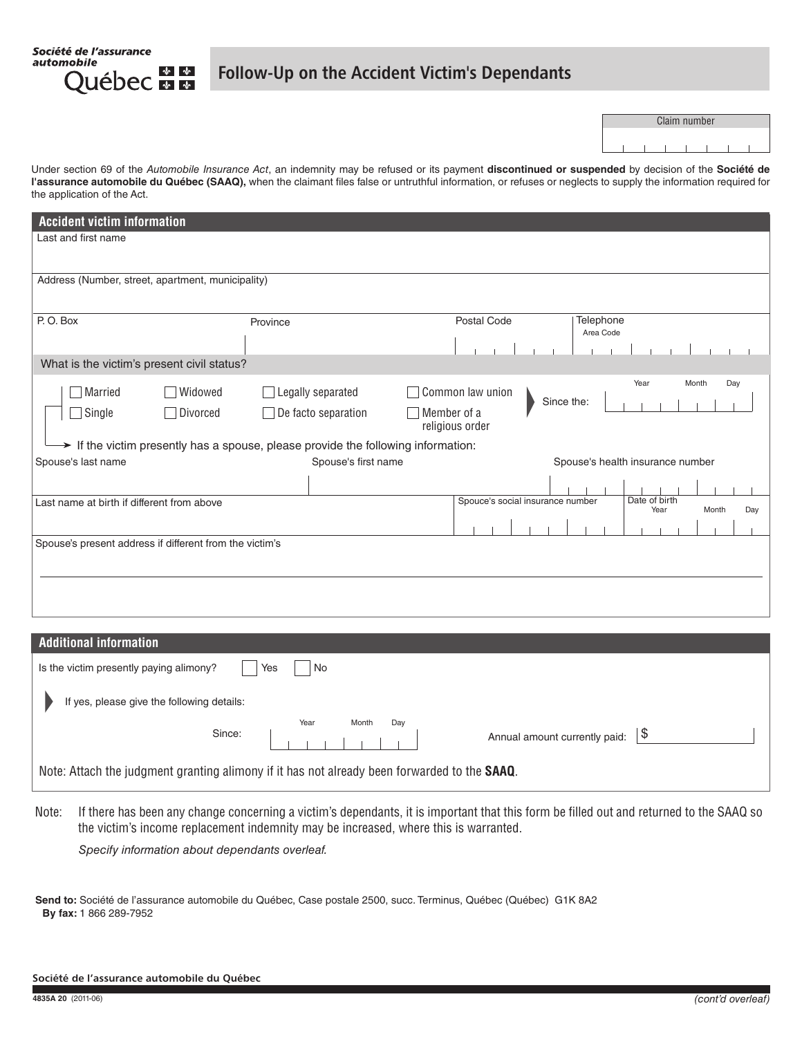Société de l'assurance automobile ่ ∲ ∲ **Québec man** 

## Follow-Up on the Accident Victim's Dependants

|  | Claim number |  |  |
|--|--------------|--|--|
|  |              |  |  |
|  |              |  |  |
|  |              |  |  |

Under section 69 of the *Automobile Insurance Act*, an indemnity may be refused or its payment **discontinued or suspended** by decision of the **Société de**  l'assurance automobile du Québec (SAAQ), when the claimant files false or untruthful information, or refuses or neglects to supply the information required for the application of the Act.

| <b>Accident victim information</b>                                                            |                     |                                  |                                                                           |  |  |  |  |  |
|-----------------------------------------------------------------------------------------------|---------------------|----------------------------------|---------------------------------------------------------------------------|--|--|--|--|--|
| Last and first name                                                                           |                     |                                  |                                                                           |  |  |  |  |  |
|                                                                                               |                     |                                  |                                                                           |  |  |  |  |  |
| Address (Number, street, apartment, municipality)                                             |                     |                                  |                                                                           |  |  |  |  |  |
| P.O. Box                                                                                      | Province            | Postal Code                      | Telephone<br>Area Code                                                    |  |  |  |  |  |
|                                                                                               |                     |                                  |                                                                           |  |  |  |  |  |
| What is the victim's present civil status?                                                    |                     |                                  |                                                                           |  |  |  |  |  |
| Married<br>Widowed<br>$\blacksquare$                                                          | Legally separated   | Common law union                 | Year<br>Month<br>Day                                                      |  |  |  |  |  |
| $\Box$ Single<br>Divorced                                                                     | De facto separation | Member of a<br>religious order   | Since the:                                                                |  |  |  |  |  |
| $\rightarrow$ If the victim presently has a spouse, please provide the following information: |                     |                                  |                                                                           |  |  |  |  |  |
| Spouse's last name                                                                            | Spouse's first name | Spouse's health insurance number |                                                                           |  |  |  |  |  |
|                                                                                               |                     |                                  |                                                                           |  |  |  |  |  |
| Last name at birth if different from above                                                    |                     |                                  | Date of birth<br>Spouce's social insurance number<br>Year<br>Month<br>Day |  |  |  |  |  |
|                                                                                               |                     |                                  |                                                                           |  |  |  |  |  |
| Spouse's present address if different from the victim's                                       |                     |                                  |                                                                           |  |  |  |  |  |
|                                                                                               |                     |                                  |                                                                           |  |  |  |  |  |
|                                                                                               |                     |                                  |                                                                           |  |  |  |  |  |
|                                                                                               |                     |                                  |                                                                           |  |  |  |  |  |
|                                                                                               |                     |                                  |                                                                           |  |  |  |  |  |

| <b>Additional information</b>                                                                        |  |  |  |  |  |  |  |
|------------------------------------------------------------------------------------------------------|--|--|--|--|--|--|--|
| Is the victim presently paying alimony?<br>Yes<br>No                                                 |  |  |  |  |  |  |  |
| If yes, please give the following details:                                                           |  |  |  |  |  |  |  |
| Year<br>Month<br>Day<br>Since:<br>\$<br>Annual amount currently paid:                                |  |  |  |  |  |  |  |
| Note: Attach the judgment granting alimony if it has not already been forwarded to the <b>SAAQ</b> . |  |  |  |  |  |  |  |

Note: If there has been any change concerning a victim's dependants, it is important that this form be filled out and returned to the SAAQ so the victim's income replacement indemnity may be increased, where this is warranted.

*Specify information about dependants overleaf.*

**Send to:** Société de l'assurance automobile du Québec, Case postale 2500, succ. Terminus, Québec (Québec) G1K 8A2 **By fax:** 1 866 289-7952